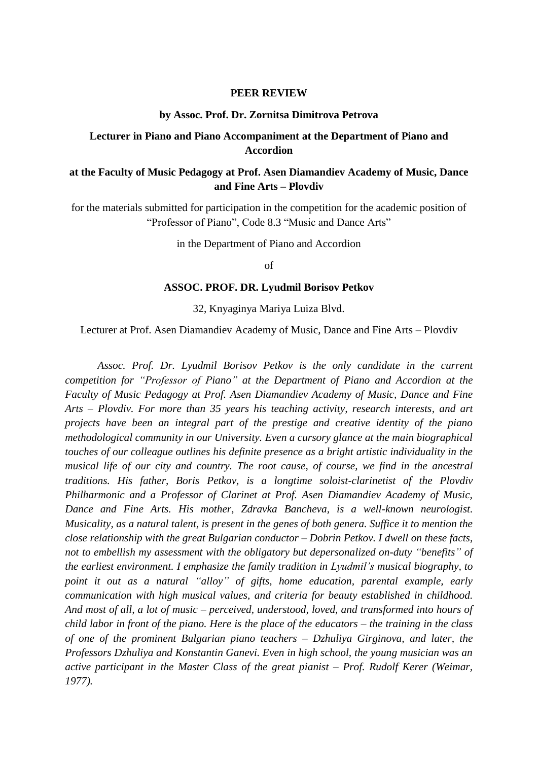#### **PEER REVIEW**

### **by Assoc. Prof. Dr. Zornitsa Dimitrova Petrova**

## **Lecturer in Piano and Piano Accompaniment at the Department of Piano and Accordion**

# **at the Faculty of Music Pedagogy at Prof. Asen Diamandiev Academy of Music, Dance and Fine Arts – Plovdiv**

for the materials submitted for participation in the competition for the academic position of "Professor of Piano", Code 8.3 "Music and Dance Arts"

in the Department of Piano and Accordion

of

### **ASSOC. PROF. DR. Lyudmil Borisov Petkov**

32, Knyaginya Mariya Luiza Blvd.

Lecturer at Prof. Asen Diamandiev Academy of Music, Dance and Fine Arts – Plovdiv

*Assoc. Prof. Dr. Lyudmil Borisov Petkov is the only candidate in the current competition for "Professor of Piano" at the Department of Piano and Accordion at the Faculty of Music Pedagogy at Prof. Asen Diamandiev Academy of Music, Dance and Fine Arts – Plovdiv. For more than 35 years his teaching activity, research interests, and art projects have been an integral part of the prestige and creative identity of the piano methodological community in our University. Even a cursory glance at the main biographical touches of our colleague outlines his definite presence as a bright artistic individuality in the musical life of our city and country. The root cause, of course, we find in the ancestral traditions. His father, Boris Petkov, is a longtime soloist-clarinetist of the Plovdiv Philharmonic and a Professor of Clarinet at Prof. Asen Diamandiev Academy of Music, Dance and Fine Arts. His mother, Zdravka Bancheva, is a well-known neurologist. Musicality, as a natural talent, is present in the genes of both genera. Suffice it to mention the close relationship with the great Bulgarian conductor – Dobrin Petkov. I dwell on these facts, not to embellish my assessment with the obligatory but depersonalized on-duty "benefits" of the earliest environment. I emphasize the family tradition in Lyudmil's musical biography, to point it out as a natural "alloy" of gifts, home education, parental example, early communication with high musical values, and criteria for beauty established in childhood. And most of all, a lot of music – perceived, understood, loved, and transformed into hours of child labor in front of the piano. Here is the place of the educators – the training in the class of one of the prominent Bulgarian piano teachers – Dzhuliya Girginova, and later, the Professors Dzhuliya and Konstantin Ganevi. Even in high school, the young musician was an active participant in the Master Class of the great pianist – Prof. Rudolf Kerer (Weimar, 1977).*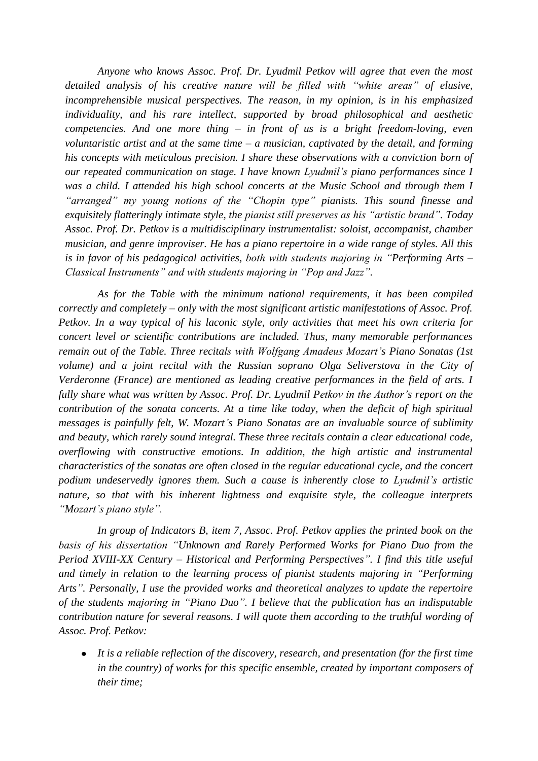*Anyone who knows Assoc. Prof. Dr. Lyudmil Petkov will agree that even the most detailed analysis of his creative nature will be filled with "white areas" of elusive, incomprehensible musical perspectives. The reason, in my opinion, is in his emphasized individuality, and his rare intellect, supported by broad philosophical and aesthetic competencies. And one more thing – in front of us is a bright freedom-loving, even voluntaristic artist and at the same time – a musician, captivated by the detail, and forming his concepts with meticulous precision. I share these observations with a conviction born of our repeated communication on stage. I have known Lyudmil's piano performances since I*  was a child. I attended his high school concerts at the Music School and through them I *"arranged" my young notions of the "Chopin type" pianists. This sound finesse and exquisitely flatteringly intimate style, the pianist still preserves as his "artistic brand". Today Assoc. Prof. Dr. Petkov is a multidisciplinary instrumentalist: soloist, accompanist, chamber musician, and genre improviser. He has a piano repertoire in a wide range of styles. All this is in favor of his pedagogical activities, both with students majoring in "Performing Arts – Classical Instruments" and with students majoring in "Pop and Jazz".*

*As for the Table with the minimum national requirements, it has been compiled correctly and completely – only with the most significant artistic manifestations of Assoc. Prof. Petkov. In a way typical of his laconic style, only activities that meet his own criteria for concert level or scientific contributions are included. Thus, many memorable performances remain out of the Table. Three recitals with Wolfgang Amadeus Mozart's Piano Sonatas (1st volume) and a joint recital with the Russian soprano Olga Seliverstova in the City of Verderonne (France) are mentioned as leading creative performances in the field of arts. I fully share what was written by Assoc. Prof. Dr. Lyudmil Petkov in the Author's report on the contribution of the sonata concerts. At a time like today, when the deficit of high spiritual messages is painfully felt, W. Mozart's Piano Sonatas are an invaluable source of sublimity and beauty, which rarely sound integral. These three recitals contain a clear educational code, overflowing with constructive emotions. In addition, the high artistic and instrumental characteristics of the sonatas are often closed in the regular educational cycle, and the concert podium undeservedly ignores them. Such a cause is inherently close to Lyudmil's artistic nature, so that with his inherent lightness and exquisite style, the colleague interprets "Mozart's piano style".*

*In group of Indicators B, item 7, Assoc. Prof. Petkov applies the printed book on the basis of his dissertation "Unknown and Rarely Performed Works for Piano Duo from the Period XVIII-XX Century – Historical and Performing Perspectives". I find this title useful and timely in relation to the learning process of pianist students majoring in "Performing Arts". Personally, I use the provided works and theoretical analyzes to update the repertoire of the students majoring in "Piano Duo". I believe that the publication has an indisputable contribution nature for several reasons. I will quote them according to the truthful wording of Assoc. Prof. Petkov:*

*It is a reliable reflection of the discovery, research, and presentation (for the first time in the country) of works for this specific ensemble, created by important composers of their time;*